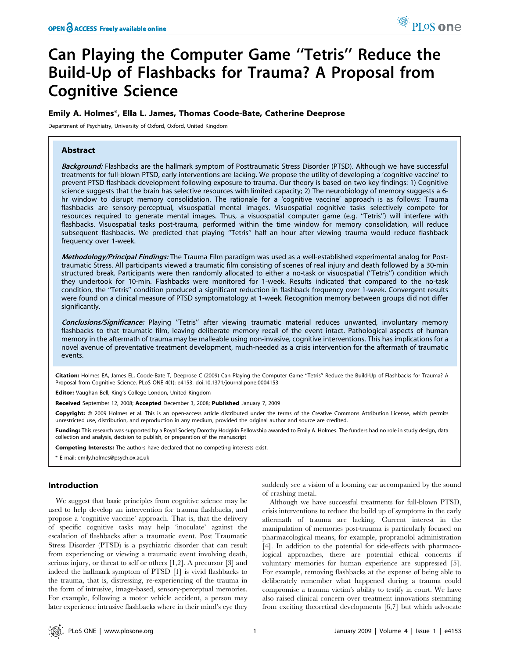# Can Playing the Computer Game ''Tetris'' Reduce the Build-Up of Flashbacks for Trauma? A Proposal from Cognitive Science

## Emily A. Holmes\*, Ella L. James, Thomas Coode-Bate, Catherine Deeprose

Department of Psychiatry, University of Oxford, Oxford, United Kingdom

# Abstract

Background: Flashbacks are the hallmark symptom of Posttraumatic Stress Disorder (PTSD). Although we have successful treatments for full-blown PTSD, early interventions are lacking. We propose the utility of developing a 'cognitive vaccine' to prevent PTSD flashback development following exposure to trauma. Our theory is based on two key findings: 1) Cognitive science suggests that the brain has selective resources with limited capacity; 2) The neurobiology of memory suggests a 6 hr window to disrupt memory consolidation. The rationale for a 'cognitive vaccine' approach is as follows: Trauma flashbacks are sensory-perceptual, visuospatial mental images. Visuospatial cognitive tasks selectively compete for resources required to generate mental images. Thus, a visuospatial computer game (e.g. ''Tetris'') will interfere with flashbacks. Visuospatial tasks post-trauma, performed within the time window for memory consolidation, will reduce subsequent flashbacks. We predicted that playing ''Tetris'' half an hour after viewing trauma would reduce flashback frequency over 1-week.

Methodology/Principal Findings: The Trauma Film paradigm was used as a well-established experimental analog for Posttraumatic Stress. All participants viewed a traumatic film consisting of scenes of real injury and death followed by a 30-min structured break. Participants were then randomly allocated to either a no-task or visuospatial (''Tetris'') condition which they undertook for 10-min. Flashbacks were monitored for 1-week. Results indicated that compared to the no-task condition, the ''Tetris'' condition produced a significant reduction in flashback frequency over 1-week. Convergent results were found on a clinical measure of PTSD symptomatology at 1-week. Recognition memory between groups did not differ significantly.

Conclusions/Significance: Playing "Tetris" after viewing traumatic material reduces unwanted, involuntary memory flashbacks to that traumatic film, leaving deliberate memory recall of the event intact. Pathological aspects of human memory in the aftermath of trauma may be malleable using non-invasive, cognitive interventions. This has implications for a novel avenue of preventative treatment development, much-needed as a crisis intervention for the aftermath of traumatic events.

Citation: Holmes EA, James EL, Coode-Bate T, Deeprose C (2009) Can Playing the Computer Game "Tetris" Reduce the Build-Up of Flashbacks for Trauma? A Proposal from Cognitive Science. PLoS ONE 4(1): e4153. doi:10.1371/journal.pone.0004153

Editor: Vaughan Bell, King's College London, United Kingdom

Received September 12, 2008; Accepted December 3, 2008; Published January 7, 2009

Copyright: © 2009 Holmes et al. This is an open-access article distributed under the terms of the Creative Commons Attribution License, which permits unrestricted use, distribution, and reproduction in any medium, provided the original author and source are credited.

Funding: This research was supported by a Royal Society Dorothy Hodgkin Fellowship awarded to Emily A. Holmes. The funders had no role in study design, data collection and analysis, decision to publish, or preparation of the manuscript

Competing Interests: The authors have declared that no competing interests exist.

\* E-mail: emily.holmes@psych.ox.ac.uk

## Introduction

We suggest that basic principles from cognitive science may be used to help develop an intervention for trauma flashbacks, and propose a 'cognitive vaccine' approach. That is, that the delivery of specific cognitive tasks may help 'inoculate' against the escalation of flashbacks after a traumatic event. Post Traumatic Stress Disorder (PTSD) is a psychiatric disorder that can result from experiencing or viewing a traumatic event involving death, serious injury, or threat to self or others [1,2]. A precursor [3] and indeed the hallmark symptom of PTSD [1] is vivid flashbacks to the trauma, that is, distressing, re-experiencing of the trauma in the form of intrusive, image-based, sensory-perceptual memories. For example, following a motor vehicle accident, a person may later experience intrusive flashbacks where in their mind's eye they

suddenly see a vision of a looming car accompanied by the sound of crashing metal.

Although we have successful treatments for full-blown PTSD, crisis interventions to reduce the build up of symptoms in the early aftermath of trauma are lacking. Current interest in the manipulation of memories post-trauma is particularly focused on pharmacological means, for example, propranolol administration [4]. In addition to the potential for side-effects with pharmacological approaches, there are potential ethical concerns if voluntary memories for human experience are suppressed [5]. For example, removing flashbacks at the expense of being able to deliberately remember what happened during a trauma could compromise a trauma victim's ability to testify in court. We have also raised clinical concern over treatment innovations stemming from exciting theoretical developments [6,7] but which advocate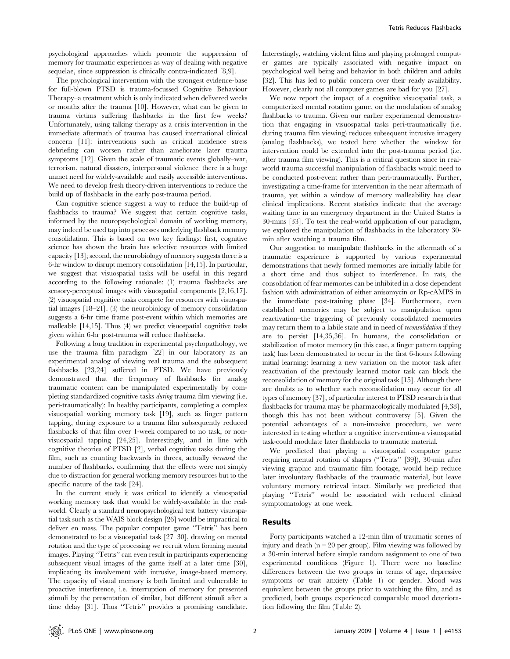psychological approaches which promote the suppression of memory for traumatic experiences as way of dealing with negative sequelae, since suppression is clinically contra-indicated [8,9].

The psychological intervention with the strongest evidence-base for full-blown PTSD is trauma-focussed Cognitive Behaviour Therapy–a treatment which is only indicated when delivered weeks or months after the trauma [10]. However, what can be given to trauma victims suffering flashbacks in the first few weeks? Unfortunately, using talking therapy as a crisis intervention in the immediate aftermath of trauma has caused international clinical concern [11]: interventions such as critical incidence stress debriefing can worsen rather than ameliorate later trauma symptoms [12]. Given the scale of traumatic events globally–war, terrorism, natural disasters, interpersonal violence–there is a huge unmet need for widely-available and easily accessible interventions. We need to develop fresh theory-driven interventions to reduce the build up of flashbacks in the early post-trauma period.

Can cognitive science suggest a way to reduce the build-up of flashbacks to trauma? We suggest that certain cognitive tasks, informed by the neuropsychological domain of working memory, may indeed be used tap into processes underlying flashback memory consolidation. This is based on two key findings: first, cognitive science has shown the brain has selective resources with limited capacity [13]; second, the neurobiology of memory suggests there is a 6-hr window to disrupt memory consolidation [14,15]. In particular, we suggest that visuospatial tasks will be useful in this regard according to the following rationale: (1) trauma flashbacks are sensory-perceptual images with visuospatial components [2,16,17]. (2) visuospatial cognitive tasks compete for resources with visuospatial images [18–21]. (3) the neurobiology of memory consolidation suggests a 6-hr time frame post-event within which memories are malleable [14,15]. Thus (4) we predict visuospatial cognitive tasks given within 6-hr post-trauma will reduce flashbacks.

Following a long tradition in experimental psychopathology, we use the trauma film paradigm [22] in our laboratory as an experimental analog of viewing real trauma and the subsequent flashbacks [23,24] suffered in PTSD. We have previously demonstrated that the frequency of flashbacks for analog traumatic content can be manipulated experimentally by completing standardized cognitive tasks during trauma film viewing (i.e. peri-traumatically): In healthy participants, completing a complex visuospatial working memory task [19], such as finger pattern tapping, during exposure to a trauma film subsequently reduced flashbacks of that film over 1-week compared to no task, or nonvisuospatial tapping [24,25]. Interestingly, and in line with cognitive theories of PTSD [2], verbal cognitive tasks during the film, such as counting backwards in threes, actually increased the number of flashbacks, confirming that the effects were not simply due to distraction for general working memory resources but to the specific nature of the task [24].

In the current study it was critical to identify a visuospatial working memory task that would be widely-available in the realworld. Clearly a standard neuropsychological test battery visuospatial task such as the WAIS block design [26] would be impractical to deliver en mass. The popular computer game ''Tetris'' has been demonstrated to be a visuospatial task [27–30], drawing on mental rotation and the type of processing we recruit when forming mental images. Playing ''Tetris'' can even result in participants experiencing subsequent visual images of the game itself at a later time [30], implicating its involvement with intrusive, image-based memory. The capacity of visual memory is both limited and vulnerable to proactive interference, i.e. interruption of memory for presented stimuli by the presentation of similar, but different stimuli after a time delay [31]. Thus ''Tetris'' provides a promising candidate.

Interestingly, watching violent films and playing prolonged computer games are typically associated with negative impact on psychological well being and behavior in both children and adults [32]. This has led to public concern over their ready availability. However, clearly not all computer games are bad for you [27].

We now report the impact of a cognitive visuospatial task, a computerized mental rotation game, on the modulation of analog flashbacks to trauma. Given our earlier experimental demonstration that engaging in visuospatial tasks peri-traumatically (i.e. during trauma film viewing) reduces subsequent intrusive imagery (analog flashbacks), we tested here whether the window for intervention could be extended into the post-trauma period (i.e. after trauma film viewing). This is a critical question since in realworld trauma successful manipulation of flashbacks would need to be conducted post-event rather than peri-traumatically. Further, investigating a time-frame for intervention in the near aftermath of trauma, yet within a window of memory malleability has clear clinical implications. Recent statistics indicate that the average waiting time in an emergency department in the United States is 30-mins [33]. To test the real-world application of our paradigm, we explored the manipulation of flashbacks in the laboratory 30 min after watching a trauma film.

Our suggestion to manipulate flashbacks in the aftermath of a traumatic experience is supported by various experimental demonstrations that newly formed memories are initially labile for a short time and thus subject to interference. In rats, the consolidation of fear memories can be inhibited in a dose dependent fashion with administration of either anisomycin or Rp-cAMPS in the immediate post-training phase [34]. Furthermore, even established memories may be subject to manipulation upon reactivation–the triggering of previously consolidated memories may return them to a labile state and in need of reconsolidation if they are to persist [14,35,36]. In humans, the consolidation or stabilization of motor memory (in this case, a finger pattern tapping task) has been demonstrated to occur in the first 6-hours following initial learning: learning a new variation on the motor task after reactivation of the previously learned motor task can block the reconsolidation of memory for the original task [15]. Although there are doubts as to whether such reconsolidation may occur for all types of memory [37], of particular interest to PTSD research is that flashbacks for trauma may be pharmacologically modulated [4,38], though this has not been without controversy [5]. Given the potential advantages of a non-invasive procedure, we were interested in testing whether a cognitive intervention-a visuospatial task-could modulate later flashbacks to traumatic material.

We predicted that playing a visuospatial computer game requiring mental rotation of shapes (''Tetris'' [39]), 30-min after viewing graphic and traumatic film footage, would help reduce later involuntary flashbacks of the traumatic material, but leave voluntary memory retrieval intact. Similarly we predicted that playing ''Tetris'' would be associated with reduced clinical symptomatology at one week.

#### Results

Forty participants watched a 12-min film of traumatic scenes of injury and death (n = 20 per group). Film viewing was followed by a 30-min interval before simple random assignment to one of two experimental conditions (Figure 1). There were no baseline differences between the two groups in terms of age, depressive symptoms or trait anxiety (Table 1) or gender. Mood was equivalent between the groups prior to watching the film, and as predicted, both groups experienced comparable mood deterioration following the film (Table 2).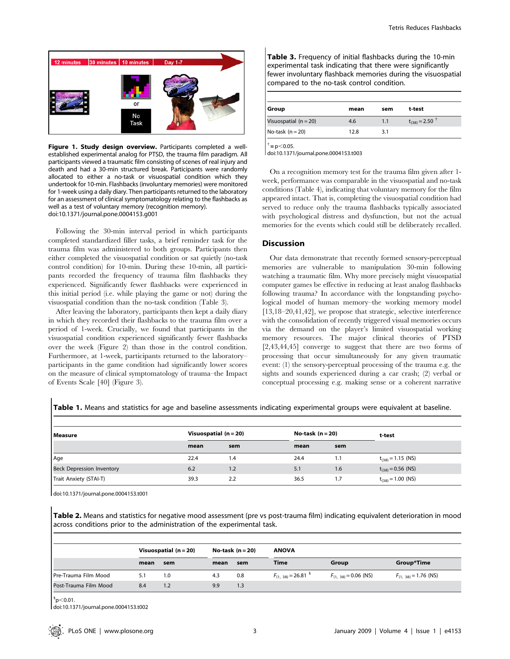

Figure 1. Study design overview. Participants completed a wellestablished experimental analog for PTSD, the trauma film paradigm. All participants viewed a traumatic film consisting of scenes of real injury and death and had a 30-min structured break. Participants were randomly allocated to either a no-task or visuospatial condition which they undertook for 10-min. Flashbacks (involuntary memories) were monitored for 1-week using a daily diary. Then participants returned to the laboratory for an assessment of clinical symptomatology relating to the flashbacks as well as a test of voluntary memory (recognition memory). doi:10.1371/journal.pone.0004153.g001

Following the 30-min interval period in which participants completed standardized filler tasks, a brief reminder task for the trauma film was administered to both groups. Participants then either completed the visuospatial condition or sat quietly (no-task control condition) for 10-min. During these 10-min, all participants recorded the frequency of trauma film flashbacks they experienced. Significantly fewer flashbacks were experienced in this initial period (i.e. while playing the game or not) during the visuospatial condition than the no-task condition (Table 3).

After leaving the laboratory, participants then kept a daily diary in which they recorded their flashbacks to the trauma film over a period of 1-week. Crucially, we found that participants in the visuospatial condition experienced significantly fewer flashbacks over the week (Figure 2) than those in the control condition. Furthermore, at 1-week, participants returned to the laboratory– participants in the game condition had significantly lower scores on the measure of clinical symptomatology of trauma–the Impact of Events Scale [40] (Figure 3).

| <b>Table 3.</b> Frequency of initial flashbacks during the 10-min |
|-------------------------------------------------------------------|
| experimental task indicating that there were significantly        |
| fewer involuntary flashback memories during the visuospatial      |
| compared to the no-task control condition.                        |

| Group                   | mean | sem | t-test                         |
|-------------------------|------|-----|--------------------------------|
| Visuospatial $(n = 20)$ | 4.6  |     | $t_{(38)} = 2.50$ <sup>†</sup> |
| No-task $(n = 20)$      | 12.8 | 3.1 |                                |

 ${\rm \dot{f}} = p < 0.05$ .

doi:10.1371/journal.pone.0004153.t003

On a recognition memory test for the trauma film given after 1 week, performance was comparable in the visuospatial and no-task conditions (Table 4), indicating that voluntary memory for the film appeared intact. That is, completing the visuospatial condition had served to reduce only the trauma flashbacks typically associated with psychological distress and dysfunction, but not the actual memories for the events which could still be deliberately recalled.

#### **Discussion**

Our data demonstrate that recently formed sensory-perceptual memories are vulnerable to manipulation 30-min following watching a traumatic film. Why more precisely might visuospatial computer games be effective in reducing at least analog flashbacks following trauma? In accordance with the longstanding psychological model of human memory–the working memory model [13,18–20,41,42], we propose that strategic, selective interference with the consolidation of recently triggered visual memories occurs via the demand on the player's limited visuospatial working memory resources. The major clinical theories of PTSD [2,43,44,45] converge to suggest that there are two forms of processing that occur simultaneously for any given traumatic event: (1) the sensory-perceptual processing of the trauma e.g. the sights and sounds experienced during a car crash; (2) verbal or conceptual processing e.g. making sense or a coherent narrative

Table 1. Means and statistics for age and baseline assessments indicating experimental groups were equivalent at baseline.

| <i><b>I</b></i> Measure          | Visuospatial $(n = 20)$ |                  | No-task $(n=20)$ |     | t-test                 |  |
|----------------------------------|-------------------------|------------------|------------------|-----|------------------------|--|
|                                  | mean                    | sem              | mean             | sem |                        |  |
| Age                              | 22.4                    | $\overline{1.4}$ | 24.4             | 1.1 | $t_{(38)} = 1.15$ (NS) |  |
| <b>Beck Depression Inventory</b> | 6.2                     | 1.2              | 5.1              | 1.6 | $t_{(38)} = 0.56$ (NS) |  |
| Trait Anxiety (STAI-T)           | 39.3                    | 2.2              | 36.5             | 1.7 | $t_{(38)} = 1.00$ (NS) |  |

doi:10.1371/journal.pone.0004153.t001

Table 2. Means and statistics for negative mood assessment (pre vs post-trauma film) indicating equivalent deterioration in mood across conditions prior to the administration of the experimental task.

|                       | Visuospatial $(n = 20)$ |     | No-task $(n=20)$ |     | <b>ANOVA</b>                       |                           |                           |
|-----------------------|-------------------------|-----|------------------|-----|------------------------------------|---------------------------|---------------------------|
|                       | mean                    | sem | mean             | sem | Time                               | Group                     | Group*Time                |
| Pre-Trauma Film Mood  | 5.1                     | 1.0 | 4.3              | 0.8 | $F_{(1, 38)} = 26.81$ <sup>5</sup> | $F_{(1, 38)} = 0.06$ (NS) | $F_{(1, 38)} = 1.76$ (NS) |
| Post-Trauma Film Mood | 8.4                     | 1.2 | 9.9              | 1.3 |                                    |                           |                           |

 $s_{p<0.01}$ 

doi:10.1371/journal.pone.0004153.t002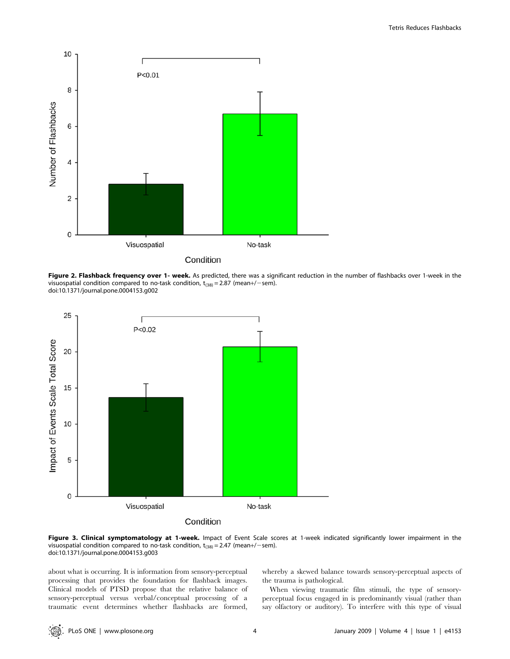

Figure 2. Flashback frequency over 1- week. As predicted, there was a significant reduction in the number of flashbacks over 1-week in the visuospatial condition compared to no-task condition,  $t_{(38)} = 2.87$  (mean+/-sem). doi:10.1371/journal.pone.0004153.g002



## Condition



about what is occurring. It is information from sensory-perceptual processing that provides the foundation for flashback images. Clinical models of PTSD propose that the relative balance of sensory-perceptual versus verbal/conceptual processing of a traumatic event determines whether flashbacks are formed, whereby a skewed balance towards sensory-perceptual aspects of the trauma is pathological.

When viewing traumatic film stimuli, the type of sensoryperceptual focus engaged in is predominantly visual (rather than say olfactory or auditory). To interfere with this type of visual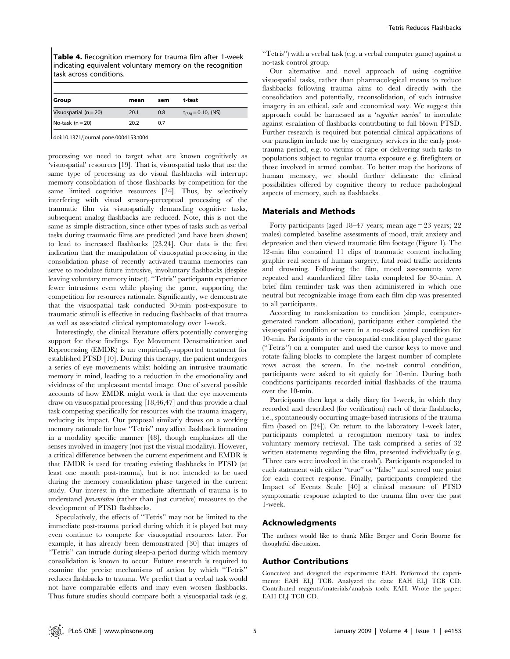Table 4. Recognition memory for trauma film after 1-week indicating equivalent voluntary memory on the recognition task across conditions.

| Group                   | mean | sem | t-test                  |
|-------------------------|------|-----|-------------------------|
| Visuospatial $(n = 20)$ | 20.1 | 0.8 | $t_{(38)} = 0.10, (NS)$ |
| No-task $(n=20)$        | 20.2 | 0.7 |                         |

doi:10.1371/journal.pone.0004153.t004

processing we need to target what are known cognitively as 'visuospatial' resources [19]. That is, visuospatial tasks that use the same type of processing as do visual flashbacks will interrupt memory consolidation of those flashbacks by competition for the same limited cognitive resources [24]. Thus, by selectively interfering with visual sensory-perceptual processing of the traumatic film via visuospatially demanding cognitive tasks, subsequent analog flashbacks are reduced. Note, this is not the same as simple distraction, since other types of tasks such as verbal tasks during traumatic films are predicted (and have been shown) to lead to increased flashbacks [23,24]. Our data is the first indication that the manipulation of visuospatial processing in the consolidation phase of recently activated trauma memories can serve to modulate future intrusive, involuntary flashbacks (despite leaving voluntary memory intact). ''Tetris'' participants experience fewer intrusions even while playing the game, supporting the competition for resources rationale. Significantly, we demonstrate that the visuospatial task conducted 30-min post-exposure to traumatic stimuli is effective in reducing flashbacks of that trauma as well as associated clinical symptomatology over 1-week.

Interestingly, the clinical literature offers potentially converging support for these findings. Eye Movement Densensitization and Reprocessing (EMDR) is an empirically-supported treatment for established PTSD [10]. During this therapy, the patient undergoes a series of eye movements whilst holding an intrusive traumatic memory in mind, leading to a reduction in the emotionality and vividness of the unpleasant mental image. One of several possible accounts of how EMDR might work is that the eye movements draw on visuospatial processing [18,46,47] and thus provide a dual task competing specifically for resources with the trauma imagery, reducing its impact. Our proposal similarly draws on a working memory rationale for how ''Tetris'' may affect flashback formation in a modality specific manner [48], though emphasizes all the senses involved in imagery (not just the visual modality). However, a critical difference between the current experiment and EMDR is that EMDR is used for treating existing flashbacks in PTSD (at least one month post-trauma), but is not intended to be used during the memory consolidation phase targeted in the current study. Our interest in the immediate aftermath of trauma is to understand preventative (rather than just curative) measures to the development of PTSD flashbacks.

Speculatively, the effects of ''Tetris'' may not be limited to the immediate post-trauma period during which it is played but may even continue to compete for visuospatial resources later. For example, it has already been demonstrated [30] that images of ''Tetris'' can intrude during sleep-a period during which memory consolidation is known to occur. Future research is required to examine the precise mechanisms of action by which ''Tetris'' reduces flashbacks to trauma. We predict that a verbal task would not have comparable effects and may even worsen flashbacks. Thus future studies should compare both a visuospatial task (e.g.

''Tetris'') with a verbal task (e.g. a verbal computer game) against a no-task control group.

Our alternative and novel approach of using cognitive visuospatial tasks, rather than pharmacological means to reduce flashbacks following trauma aims to deal directly with the consolidation and potentially, reconsolidation, of such intrusive imagery in an ethical, safe and economical way. We suggest this approach could be harnessed as a 'cognitive vaccine' to inoculate against escalation of flashbacks contributing to full blown PTSD. Further research is required but potential clinical applications of our paradigm include use by emergency services in the early posttrauma period, e.g. to victims of rape or delivering such tasks to populations subject to regular trauma exposure e.g. firefighters or those involved in armed combat. To better map the horizons of human memory, we should further delineate the clinical possibilities offered by cognitive theory to reduce pathological aspects of memory, such as flashbacks.

### Materials and Methods

Forty participants (aged 18–47 years; mean age = 23 years; 22 males) completed baseline assessments of mood, trait anxiety and depression and then viewed traumatic film footage (Figure 1). The 12-min film contained 11 clips of traumatic content including graphic real scenes of human surgery, fatal road traffic accidents and drowning. Following the film, mood assessments were repeated and standardized filler tasks completed for 30-min. A brief film reminder task was then administered in which one neutral but recognizable image from each film clip was presented to all participants.

According to randomization to condition (simple, computergenerated random allocation), participants either completed the visuospatial condition or were in a no-task control condition for 10-min. Participants in the visuospatial condition played the game (''Tetris'') on a computer and used the cursor keys to move and rotate falling blocks to complete the largest number of complete rows across the screen. In the no-task control condition, participants were asked to sit quietly for 10-min. During both conditions participants recorded initial flashbacks of the trauma over the 10-min.

Participants then kept a daily diary for 1-week, in which they recorded and described (for verification) each of their flashbacks, i.e., spontaneously occurring image-based intrusions of the trauma film (based on [24]). On return to the laboratory 1-week later, participants completed a recognition memory task to index voluntary memory retrieval. The task comprised a series of 32 written statements regarding the film, presented individually (e.g. 'Three cars were involved in the crash'). Participants responded to each statement with either ''true'' or ''false'' and scored one point for each correct response. Finally, participants completed the Impact of Events Scale [40]–a clinical measure of PTSD symptomatic response adapted to the trauma film over the past 1-week.

## Acknowledgments

The authors would like to thank Mike Berger and Corin Bourne for thoughtful discussion.

#### Author Contributions

Conceived and designed the experiments: EAH. Performed the experiments: EAH ELJ TCB. Analyzed the data: EAH ELJ TCB CD. Contributed reagents/materials/analysis tools: EAH. Wrote the paper: EAH ELJ TCB CD.